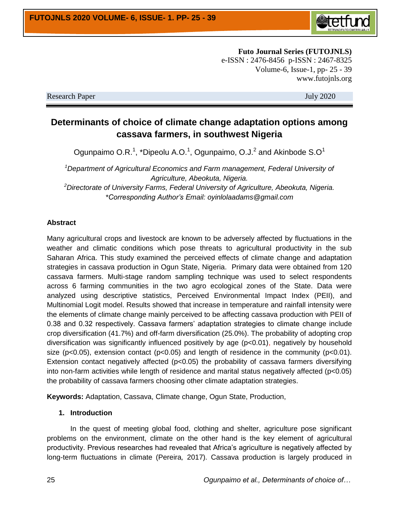

**Futo Journal Series (FUTOJNLS)** e-ISSN : 2476-8456 p-ISSN : 2467-8325 Volume-6, Issue-1, pp- 25 - 39 www.futojnls.org

Research Paper July 2020

# **Determinants of choice of climate change adaptation options among cassava farmers, in southwest Nigeria**

Ogunpaimo O.R.<sup>1</sup>, \*Dipeolu A.O.<sup>1</sup>, Ogunpaimo, O.J.<sup>2</sup> and Akinbode S.O<sup>1</sup>

*<sup>1</sup>Department of Agricultural Economics and Farm management, Federal University of Agriculture, Abeokuta, Nigeria. <sup>2</sup>Directorate of University Farms, Federal University of Agriculture, Abeokuta, Nigeria. \*Corresponding Author's Email: oyinlolaadams@gmail.com*

#### **Abstract**

Many agricultural crops and livestock are known to be adversely affected by fluctuations in the weather and climatic conditions which pose threats to agricultural productivity in the sub Saharan Africa. This study examined the perceived effects of climate change and adaptation strategies in cassava production in Ogun State, Nigeria. Primary data were obtained from 120 cassava farmers. Multi-stage random sampling technique was used to select respondents across 6 farming communities in the two agro ecological zones of the State. Data were analyzed using descriptive statistics, Perceived Environmental Impact Index (PEII), and Multinomial Logit model. Results showed that increase in temperature and rainfall intensity were the elements of climate change mainly perceived to be affecting cassava production with PEII of 0.38 and 0.32 respectively. Cassava farmers' adaptation strategies to climate change include crop diversification (41.7%) and off-farm diversification (25.0%). The probability of adopting crop diversification was significantly influenced positively by age (p<0.01), negatively by household size ( $p<0.05$ ), extension contact ( $p<0.05$ ) and length of residence in the community ( $p<0.01$ ). Extension contact negatively affected (p<0.05) the probability of cassava farmers diversifying into non-farm activities while length of residence and marital status negatively affected (p<0.05) the probability of cassava farmers choosing other climate adaptation strategies.

**Keywords:** Adaptation, Cassava, Climate change, Ogun State, Production,

#### **1. Introduction**

In the quest of meeting global food, clothing and shelter, agriculture pose significant problems on the environment, climate on the other hand is the key element of agricultural productivity. Previous researches had revealed that Africa's agriculture is negatively affected by long-term fluctuations in climate (Pereira*,* 2017). Cassava production is largely produced in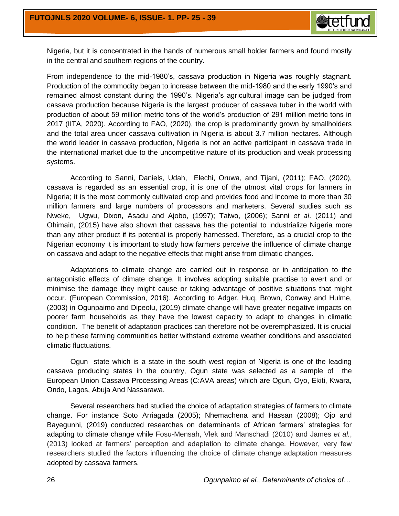

Nigeria, but it is concentrated in the hands of numerous small holder farmers and found mostly in the central and southern regions of the country.

From independence to the mid-1980's, cassava production in Nigeria was roughly stagnant. Production of the commodity began to increase between the mid-1980 and the early 1990's and remained almost constant during the 1990's. Nigeria's agricultural image can be judged from cassava production because Nigeria is the largest producer of cassava tuber in the world with production of about 59 million metric tons of the world's production of 291 million metric tons in 2017 (IITA, 2020). According to FAO, (2020), the crop is predominantly grown by smallholders and the total area under cassava cultivation in Nigeria is about 3.7 million hectares. Although the world leader in cassava production, Nigeria is not an active participant in cassava trade in the international market due to the uncompetitive nature of its production and weak processing systems.

According to Sanni, Daniels, Udah, Elechi, Oruwa, and Tijani, (2011); FAO, (2020), cassava is regarded as an essential crop, it is one of the utmost vital crops for farmers in Nigeria; it is the most commonly cultivated crop and provides food and income to more than 30 million farmers and large numbers of processors and marketers. Several studies such as Nweke, Ugwu, Dixon, Asadu and Ajobo, (1997); Taiwo, (2006); Sanni *et al*. (2011) and Ohimain, (2015) have also shown that cassava has the potential to industrialize Nigeria more than any other product if its potential is properly harnessed. Therefore, as a crucial crop to the Nigerian economy it is important to study how farmers perceive the influence of climate change on cassava and adapt to the negative effects that might arise from climatic changes.

Adaptations to climate change are carried out in response or in anticipation to the antagonistic effects of climate change. It involves adopting suitable practise to avert and or minimise the damage they might cause or taking advantage of positive situations that might occur. (European Commission, 2016). According to Adger, Huq, Brown, Conway and Hulme, (2003) in Ogunpaimo and Dipeolu, (2019) climate change will have greater negative impacts on poorer farm households as they have the lowest capacity to adapt to changes in climatic condition. The benefit of adaptation practices can therefore not be overemphasized. It is crucial to help these farming communities better withstand extreme weather conditions and associated climatic fluctuations.

Ogun state which is a state in the south west region of Nigeria is one of the leading cassava producing states in the country, Ogun state was selected as a sample of the European Union Cassava Processing Areas (C:AVA areas) which are Ogun, Oyo, Ekiti, Kwara, Ondo, Lagos, Abuja And Nassarawa.

Several researchers had studied the choice of adaptation strategies of farmers to climate change. For instance Soto Arriagada (2005); Nhemachena and Hassan (2008); Ojo and Bayegunhi, (2019) conducted researches on determinants of African farmers' strategies for adapting to climate change while Fosu-Mensah, Vlek and Manschadi (2010) and James *et al.*, (2013) looked at farmers' perception and adaptation to climate change. However, very few researchers studied the factors influencing the choice of climate change adaptation measures adopted by cassava farmers.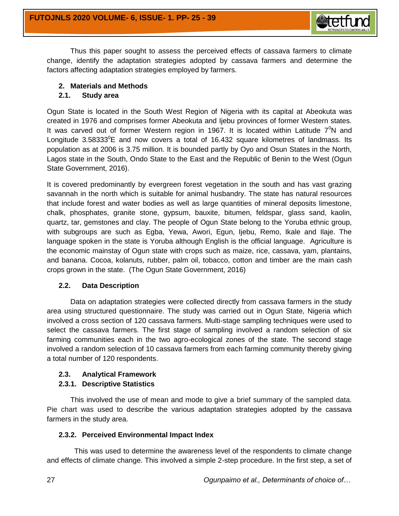

Thus this paper sought to assess the perceived effects of cassava farmers to climate change, identify the adaptation strategies adopted by cassava farmers and determine the factors affecting adaptation strategies employed by farmers.

## **2. Materials and Methods**

## **2.1. Study area**

Ogun State is located in the South West Region of Nigeria with its [capital](http://en.wikipedia.org/wiki/Capital_(political)) at [Abeokuta](http://en.wikipedia.org/wiki/Ibadan) was created in 1976 and comprises former Abeokuta and Ijebu provinces of former Western states. It was carved out of former Western region in 1967. It is located within Latitude  $7^0$ N and Longitude  $3.58333^{\circ}E$  and now covers a total of 16.432 square kilometres of landmass. Its population as at 2006 is 3.75 million. It is bounded partly by Oyo and Osun States in the North, Lagos state in the South, Ondo State to the East and the Republic of Benin to the West (Ogun State Government, 2016).

It is covered predominantly by evergreen forest vegetation in the south and has vast grazing savannah in the north which is suitable for animal husbandry. The state has natural resources that include forest and water bodies as well as large quantities of mineral deposits limestone, chalk, phosphates, granite stone, gypsum, bauxite, bitumen, feldspar, glass sand, kaolin, quartz, tar, gemstones and clay. The people of Ogun State belong to the Yoruba ethnic group, with subgroups are such as Egba, Yewa, Awori, Egun, Ijebu, Remo, Ikale and Ilaje. The language spoken in the state is Yoruba although English is the official language. Agriculture is the economic mainstay of Ogun state with crops such as maize, rice, cassava, yam, plantains, and banana. Cocoa, kolanuts, rubber, palm oil, tobacco, cotton and timber are the main cash crops grown in the state. (The Ogun State Government, 2016)

## **2.2. Data Description**

Data on adaptation strategies were collected directly from cassava farmers in the study area using structured questionnaire. The study was carried out in Ogun State, Nigeria which involved a cross section of 120 cassava farmers. Multi-stage sampling techniques were used to select the cassava farmers. The first stage of sampling involved a random selection of six farming communities each in the two agro-ecological zones of the state. The second stage involved a random selection of 10 cassava farmers from each farming community thereby giving a total number of 120 respondents.

## **2.3. Analytical Framework**

## **2.3.1. Descriptive Statistics**

This involved the use of mean and mode to give a brief summary of the sampled data. Pie chart was used to describe the various adaptation strategies adopted by the cassava farmers in the study area.

## **2.3.2. Perceived Environmental Impact Index**

 This was used to determine the awareness level of the respondents to climate change and effects of climate change. This involved a simple 2-step procedure. In the first step, a set of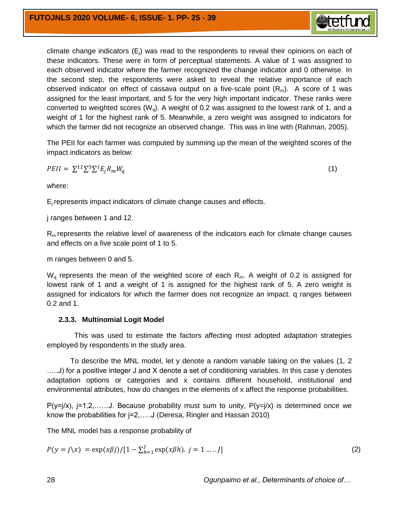

climate change indicators  $(E_i)$  was read to the respondents to reveal their opinions on each of these indicators. These were in form of perceptual statements. A value of 1 was assigned to each observed indicator where the farmer recognized the change indicator and 0 otherwise. In the second step, the respondents were asked to reveal the relative importance of each observed indicator on effect of cassava output on a five-scale point  $(R_m)$ . A score of 1 was assigned for the least important, and 5 for the very high important indicator. These ranks were converted to weighted scores ( $W<sub>o</sub>$ ). A weight of 0.2 was assigned to the lowest rank of 1, and a weight of 1 for the highest rank of 5. Meanwhile, a zero weight was assigned to indicators for which the farmer did not recognize an observed change. This was in line with (Rahman, 2005).

The PEII for each farmer was computed by summing up the mean of the weighted scores of the impact indicators as below:

$$
PEII = \sum_{i}^{12} \sum_{j}^{5} \sum_{i}^{1} E_{j} R_{m} W_{q} \tag{1}
$$

where:

E<sup>j</sup> represents impact indicators of climate change causes and effects.

j ranges between 1 and 12.

 $R<sub>m</sub>$  represents the relative level of awareness of the indicators each for climate change causes and effects on a five scale point of 1 to 5.

m ranges between 0 and 5.

 $W<sub>o</sub>$  represents the mean of the weighted score of each  $R<sub>m</sub>$ . A weight of 0.2 is assigned for lowest rank of 1 and a weight of 1 is assigned for the highest rank of 5. A zero weight is assigned for indicators for which the farmer does not recognize an impact. q ranges between 0.2 and 1.

#### **2.3.3. Multinomial Logit Model**

 This was used to estimate the factors affecting most adopted adaptation strategies employed by respondents in the study area.

To describe the MNL model, let y denote a random variable taking on the values (1, 2 .....J) for a positive integer J and X denote a set of conditioning variables. In this case y denotes adaptation options or categories and x contains different household, institutional and environmental attributes, how do changes in the elements of x affect the response probabilities.

 $P(y=|x)$ ,  $j=1,2,\ldots,d$ . Because probability must sum to unity,  $P(y=|x)$  is determined once we know the probabilities for j=2,…..J (Deresa, Ringler and Hassan 2010)

The MNL model has a response probability of

$$
P(y = j \setminus x) = \exp(x\beta j) / [1 - \sum_{h=1}^{J} \exp(x\beta h), j = 1 \dots J]
$$
 (2)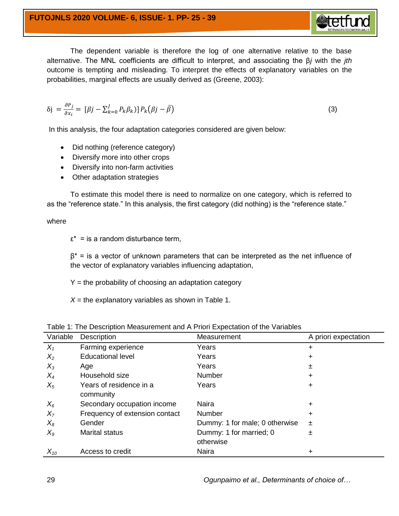The dependent variable is therefore the log of one alternative relative to the base alternative. The MNL coefficients are difficult to interpret, and associating the β*j* with the *jth* outcome is tempting and misleading. To interpret the effects of explanatory variables on the probabilities, marginal effects are usually derived as (Greene, 2003):

$$
\delta j = \frac{\partial P_j}{\partial x_i} = \left[ \beta j - \sum_{k=0}^{J} P_k \beta_k \right] P_k \left( \beta j - \bar{\beta} \right) \tag{3}
$$

In this analysis, the four adaptation categories considered are given below:

- Did nothing (reference category)
- Diversify more into other crops
- Diversify into non-farm activities
- Other adaptation strategies

To estimate this model there is need to normalize on one category, which is referred to as the "reference state." In this analysis, the first category (did nothing) is the "reference state."

where

 $\epsilon^*$  = is a random disturbance term,

 $\beta^*$  = is a vector of unknown parameters that can be interpreted as the net influence of the vector of explanatory variables influencing adaptation,

 $Y =$  the probability of choosing an adaptation category

 $X =$  the explanatory variables as shown in Table 1.

| Variable | <b>Description</b>                   | Measurement                          | A priori expectation |
|----------|--------------------------------------|--------------------------------------|----------------------|
| $X_1$    | Farming experience                   | Years                                | $\ddot{}$            |
| $X_2$    | <b>Educational level</b>             | Years                                | $\ddot{}$            |
| $X_3$    | Age                                  | Years                                | 土                    |
| $X_4$    | Household size                       | Number                               | $\ddot{}$            |
| $X_5$    | Years of residence in a<br>community | Years                                | $\ddot{}$            |
| $X_6$    | Secondary occupation income          | <b>Naira</b>                         | $\ddot{}$            |
| $X_7$    | Frequency of extension contact       | Number                               | $\ddot{}$            |
| $X_8$    | Gender                               | Dummy: 1 for male; 0 otherwise       | 士                    |
| $X_{9}$  | <b>Marital status</b>                | Dummy: 1 for married; 0<br>otherwise | 士                    |
| $X_{10}$ | Access to credit                     | Naira                                | +                    |

Table 1: The Description Measurement and A Priori Expectation of the Variables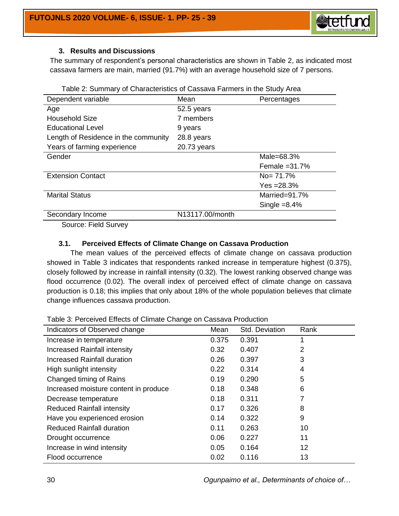

### **3. Results and Discussions**

The summary of respondent's personal characteristics are shown in Table 2, as indicated most cassava farmers are main, married (91.7%) with an average household size of 7 persons.

| rabic 2. Odminiary or Onaractoriotics or Odssava Family 3 in the Otagy Area |                 |                  |  |  |
|-----------------------------------------------------------------------------|-----------------|------------------|--|--|
| Dependent variable                                                          | Mean            | Percentages      |  |  |
| Age                                                                         | 52.5 years      |                  |  |  |
| <b>Household Size</b>                                                       | 7 members       |                  |  |  |
| <b>Educational Level</b>                                                    | 9 years         |                  |  |  |
| Length of Residence in the community                                        | 28.8 years      |                  |  |  |
| Years of farming experience                                                 | 20.73 years     |                  |  |  |
| Gender                                                                      |                 | Male= $68.3\%$   |  |  |
|                                                                             |                 | Female $=31.7\%$ |  |  |
| <b>Extension Contact</b>                                                    |                 | $No = 71.7%$     |  |  |
|                                                                             |                 | $Yes = 28.3\%$   |  |  |
| <b>Marital Status</b>                                                       |                 | Married=91.7%    |  |  |
|                                                                             |                 | Single $=8.4\%$  |  |  |
| Secondary Income                                                            | N13117.00/month |                  |  |  |

Table 2: Summary of Characteristics of Cassava Farmers in the Study Area

Source: Field Survey

#### **3.1. Perceived Effects of Climate Change on Cassava Production**

The mean values of the perceived effects of climate change on cassava production showed in Table 3 indicates that respondents ranked increase in temperature highest (0.375), closely followed by increase in rainfall intensity (0.32). The lowest ranking observed change was flood occurrence (0.02). The overall index of perceived effect of climate change on cassava production is 0.18; this implies that only about 18% of the whole population believes that climate change influences cassava production.

Table 3: Perceived Effects of Climate Change on Cassava Production

| rapic J. Feredived Enecto or Ollmate Originge on Odoodva Froudellon |       |                |                |  |
|---------------------------------------------------------------------|-------|----------------|----------------|--|
| Indicators of Observed change                                       | Mean  | Std. Deviation | Rank           |  |
| Increase in temperature                                             | 0.375 | 0.391          |                |  |
| Increased Rainfall intensity                                        | 0.32  | 0.407          | $\overline{2}$ |  |
| Increased Rainfall duration                                         | 0.26  | 0.397          | 3              |  |
| High sunlight intensity                                             | 0.22  | 0.314          | 4              |  |
| Changed timing of Rains                                             | 0.19  | 0.290          | 5              |  |
| Increased moisture content in produce                               | 0.18  | 0.348          | 6              |  |
| Decrease temperature                                                | 0.18  | 0.311          | 7              |  |
| <b>Reduced Rainfall intensity</b>                                   | 0.17  | 0.326          | 8              |  |
| Have you experienced erosion                                        | 0.14  | 0.322          | 9              |  |
| <b>Reduced Rainfall duration</b>                                    | 0.11  | 0.263          | 10             |  |
| Drought occurrence                                                  | 0.06  | 0.227          | 11             |  |
| Increase in wind intensity                                          | 0.05  | 0.164          | 12             |  |
| Flood occurrence                                                    | 0.02  | 0.116          | 13             |  |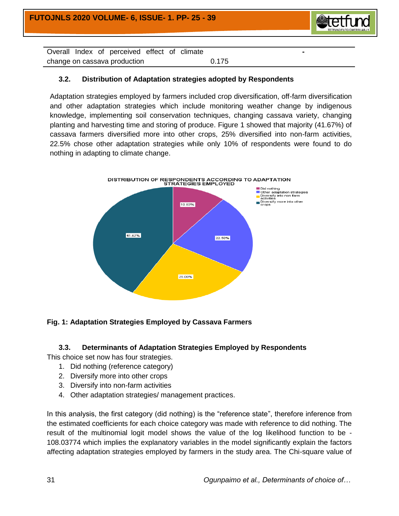

**-** 

Overall Index of perceived effect of climate change on cassava production and the change on cassava production

## **3.2. Distribution of Adaptation strategies adopted by Respondents**

Adaptation strategies employed by farmers included crop diversification, off-farm diversification and other adaptation strategies which include monitoring weather change by indigenous knowledge, implementing soil conservation techniques, changing cassava variety, changing planting and harvesting time and storing of produce. Figure 1 showed that majority (41.67%) of cassava farmers diversified more into other crops, 25% diversified into non-farm activities, 22.5% chose other adaptation strategies while only 10% of respondents were found to do nothing in adapting to climate change.



## **Fig. 1: Adaptation Strategies Employed by Cassava Farmers**

## **3.3. Determinants of Adaptation Strategies Employed by Respondents**

This choice set now has four strategies.

- 1. Did nothing (reference category)
- 2. Diversify more into other crops
- 3. Diversify into non-farm activities
- 4. Other adaptation strategies/ management practices.

In this analysis, the first category (did nothing) is the "reference state", therefore inference from the estimated coefficients for each choice category was made with reference to did nothing. The result of the multinomial logit model shows the value of the log likelihood function to be - 108.03774 which implies the explanatory variables in the model significantly explain the factors affecting adaptation strategies employed by farmers in the study area. The Chi-square value of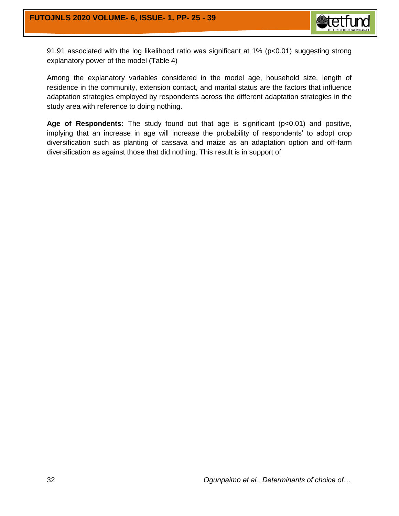

91.91 associated with the log likelihood ratio was significant at 1% (p<0.01) suggesting strong explanatory power of the model (Table 4)

Among the explanatory variables considered in the model age, household size, length of residence in the community, extension contact, and marital status are the factors that influence adaptation strategies employed by respondents across the different adaptation strategies in the study area with reference to doing nothing.

Age of Respondents: The study found out that age is significant (p<0.01) and positive, implying that an increase in age will increase the probability of respondents' to adopt crop diversification such as planting of cassava and maize as an adaptation option and off-farm diversification as against those that did nothing. This result is in support of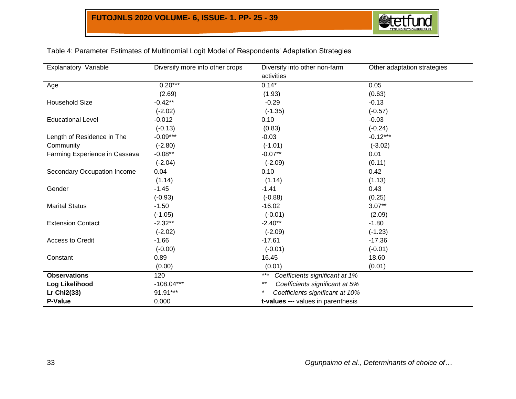

| Explanatory Variable          | Diversify more into other crops | Diversify into other non-farm                 | Other adaptation strategies |
|-------------------------------|---------------------------------|-----------------------------------------------|-----------------------------|
|                               |                                 | activities                                    |                             |
| Age                           | $0.20***$                       | $0.14*$                                       | 0.05                        |
|                               | (2.69)                          | (1.93)                                        | (0.63)                      |
| <b>Household Size</b>         | $-0.42**$                       | $-0.29$                                       | $-0.13$                     |
|                               | $(-2.02)$                       | $(-1.35)$                                     | $(-0.57)$                   |
| <b>Educational Level</b>      | $-0.012$                        | 0.10                                          | $-0.03$                     |
|                               | $(-0.13)$                       | (0.83)                                        | $(-0.24)$                   |
| Length of Residence in The    | $-0.09***$                      | $-0.03$                                       | $-0.12***$                  |
| Community                     | $(-2.80)$                       | $(-1.01)$                                     | $(-3.02)$                   |
| Farming Experience in Cassava | $-0.08**$                       | $-0.07**$                                     | 0.01                        |
|                               | $(-2.04)$                       | $(-2.09)$                                     | (0.11)                      |
| Secondary Occupation Income   | 0.04                            | 0.10                                          | 0.42                        |
|                               | (1.14)                          | (1.14)                                        | (1.13)                      |
| Gender                        | $-1.45$                         | $-1.41$                                       | 0.43                        |
|                               | $(-0.93)$                       | $(-0.88)$                                     | (0.25)                      |
| <b>Marital Status</b>         | $-1.50$                         | $-16.02$                                      | $3.07**$                    |
|                               | $(-1.05)$                       | $(-0.01)$                                     | (2.09)                      |
| <b>Extension Contact</b>      | $-2.32**$                       | $-2.40**$                                     | $-1.80$                     |
|                               | $(-2.02)$                       | $(-2.09)$                                     | $(-1.23)$                   |
| Access to Credit              | $-1.66$                         | $-17.61$                                      | $-17.36$                    |
|                               | $(-0.00)$                       | $(-0.01)$                                     | $(-0.01)$                   |
| Constant                      | 0.89                            | 16.45                                         | 18.60                       |
|                               | (0.00)                          | (0.01)                                        | (0.01)                      |
| <b>Observations</b>           | 120                             | $***$<br>Coefficients significant at 1%       |                             |
| Log Likelihood                | $-108.04***$                    | $***$<br>Coefficients significant at 5%       |                             |
| <b>Lr Chi2(33)</b>            | 91.91***                        | $^{\star}$<br>Coefficients significant at 10% |                             |
| P-Value                       | 0.000                           | t-values --- values in parenthesis            |                             |

## Table 4: Parameter Estimates of Multinomial Logit Model of Respondents' Adaptation Strategies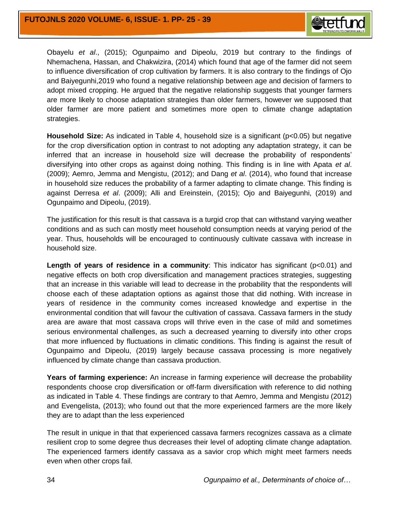

Obayelu *et al*., (2015); Ogunpaimo and Dipeolu, 2019 but contrary to the findings of Nhemachena, Hassan, and Chakwizira, (2014) which found that age of the farmer did not seem to influence diversification of crop cultivation by farmers. It is also contrary to the findings of Ojo and Baiyegunhi,2019 who found a negative relationship between age and decision of farmers to adopt mixed cropping. He argued that the negative relationship suggests that younger farmers are more likely to choose adaptation strategies than older farmers, however we supposed that older farmer are more patient and sometimes more open to climate change adaptation strategies.

**Household Size:** As indicated in Table 4, household size is a significant (p<0.05) but negative for the crop diversification option in contrast to not adopting any adaptation strategy, it can be inferred that an increase in household size will decrease the probability of respondents' diversifying into other crops as against doing nothing. This finding is in line with Apata *et al*. (2009); Aemro, Jemma and Mengistu, (2012); and Dang *et al*. (2014), who found that increase in household size reduces the probability of a farmer adapting to climate change. This finding is against Derresa *et al*. (2009); Alli and Ereinstein, (2015); Ojo and Baiyegunhi, (2019) and Ogunpaimo and Dipeolu, (2019).

The justification for this result is that cassava is a turgid crop that can withstand varying weather conditions and as such can mostly meet household consumption needs at varying period of the year. Thus, households will be encouraged to continuously cultivate cassava with increase in household size.

**Length of years of residence in a community**: This indicator has significant (p<0.01) and negative effects on both crop diversification and management practices strategies, suggesting that an increase in this variable will lead to decrease in the probability that the respondents will choose each of these adaptation options as against those that did nothing. With increase in years of residence in the community comes increased knowledge and expertise in the environmental condition that will favour the cultivation of cassava. Cassava farmers in the study area are aware that most cassava crops will thrive even in the case of mild and sometimes serious environmental challenges, as such a decreased yearning to diversify into other crops that more influenced by fluctuations in climatic conditions. This finding is against the result of Ogunpaimo and Dipeolu, (2019) largely because cassava processing is more negatively influenced by climate change than cassava production.

**Years of farming experience:** An increase in farming experience will decrease the probability respondents choose crop diversification or off-farm diversification with reference to did nothing as indicated in Table 4. These findings are contrary to that Aemro, Jemma and Mengistu (2012) and Evengelista, (2013); who found out that the more experienced farmers are the more likely they are to adapt than the less experienced

The result in unique in that that experienced cassava farmers recognizes cassava as a climate resilient crop to some degree thus decreases their level of adopting climate change adaptation. The experienced farmers identify cassava as a savior crop which might meet farmers needs even when other crops fail.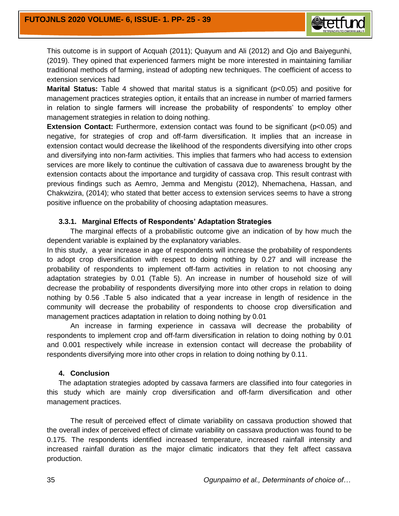

This outcome is in support of Acquah (2011); Quayum and Ali (2012) and Ojo and Baiyegunhi, (2019). They opined that experienced farmers might be more interested in maintaining familiar traditional methods of farming, instead of adopting new techniques. The coefficient of access to extension services had

**Marital Status:** Table 4 showed that marital status is a significant ( $p<0.05$ ) and positive for management practices strategies option, it entails that an increase in number of married farmers in relation to single farmers will increase the probability of respondents' to employ other management strategies in relation to doing nothing.

**Extension Contact:** Furthermore, extension contact was found to be significant (p<0.05) and negative, for strategies of crop and off-farm diversification. It implies that an increase in extension contact would decrease the likelihood of the respondents diversifying into other crops and diversifying into non-farm activities. This implies that farmers who had access to extension services are more likely to continue the cultivation of cassava due to awareness brought by the extension contacts about the importance and turgidity of cassava crop. This result contrast with previous findings such as Aemro, Jemma and Mengistu (2012), Nhemachena, Hassan, and Chakwizira, (2014); who stated that better access to extension services seems to have a strong positive influence on the probability of choosing adaptation measures.

#### **3.3.1. Marginal Effects of Respondents' Adaptation Strategies**

The marginal effects of a probabilistic outcome give an indication of by how much the dependent variable is explained by the explanatory variables.

In this study, a year increase in age of respondents will increase the probability of respondents to adopt crop diversification with respect to doing nothing by 0.27 and will increase the probability of respondents to implement off-farm activities in relation to not choosing any adaptation strategies by 0.01 (Table 5). An increase in number of household size of will decrease the probability of respondents diversifying more into other crops in relation to doing nothing by 0.56 .Table 5 also indicated that a year increase in length of residence in the community will decrease the probability of respondents to choose crop diversification and management practices adaptation in relation to doing nothing by 0.01

An increase in farming experience in cassava will decrease the probability of respondents to implement crop and off-farm diversification in relation to doing nothing by 0.01 and 0.001 respectively while increase in extension contact will decrease the probability of respondents diversifying more into other crops in relation to doing nothing by 0.11.

#### **4. Conclusion**

The adaptation strategies adopted by cassava farmers are classified into four categories in this study which are mainly crop diversification and off-farm diversification and other management practices.

The result of perceived effect of climate variability on cassava production showed that the overall index of perceived effect of climate variability on cassava production was found to be 0.175. The respondents identified increased temperature, increased rainfall intensity and increased rainfall duration as the major climatic indicators that they felt affect cassava production.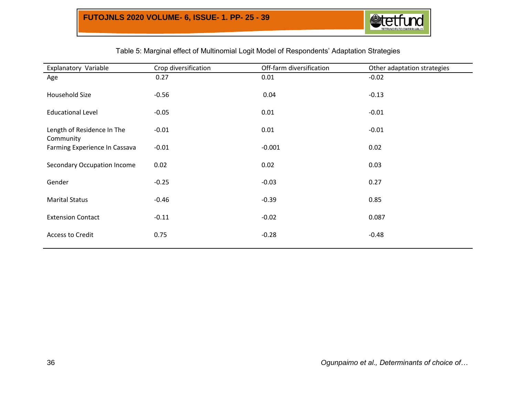

## Table 5: Marginal effect of Multinomial Logit Model of Respondents' Adaptation Strategies

| Explanatory Variable                    | Crop diversification | Off-farm diversification | Other adaptation strategies |
|-----------------------------------------|----------------------|--------------------------|-----------------------------|
| Age                                     | 0.27                 | 0.01                     | $-0.02$                     |
| Household Size                          | $-0.56$              | 0.04                     | $-0.13$                     |
| <b>Educational Level</b>                | $-0.05$              | 0.01                     | $-0.01$                     |
| Length of Residence In The<br>Community | $-0.01$              | 0.01                     | $-0.01$                     |
| Farming Experience In Cassava           | $-0.01$              | $-0.001$                 | 0.02                        |
| <b>Secondary Occupation Income</b>      | 0.02                 | 0.02                     | 0.03                        |
| Gender                                  | $-0.25$              | $-0.03$                  | 0.27                        |
| <b>Marital Status</b>                   | $-0.46$              | $-0.39$                  | 0.85                        |
| <b>Extension Contact</b>                | $-0.11$              | $-0.02$                  | 0.087                       |
| <b>Access to Credit</b>                 | 0.75                 | $-0.28$                  | $-0.48$                     |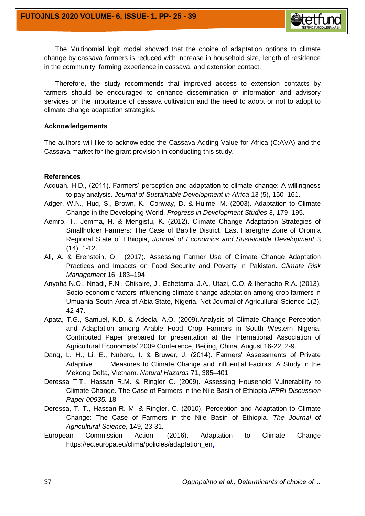

Therefore, the study recommends that improved access to extension contacts by farmers should be encouraged to enhance dissemination of information and advisory services on the importance of cassava cultivation and the need to adopt or not to adopt to climate change adaptation strategies.

#### **Acknowledgements**

The authors will like to acknowledge the Cassava Adding Value for Africa (C:AVA) and the Cassava market for the grant provision in conducting this study.

#### **References**

- Acquah, H.D., (2011). Farmers' perception and adaptation to climate change: A willingness to pay analysis. *Journal of Sustainable Development in Africa* 13 (5), 150–161.
- Adger, W.N., Huq, S., Brown, K., Conway, D. & Hulme, M. (2003). Adaptation to Climate Change in the Developing World. *Progress in Development Studies* 3, 179–195.
- Aemro, T., Jemma, H. & Mengistu, K. (2012). Climate Change Adaptation Strategies of Smallholder Farmers: The Case of Babilie District, East Harerghe Zone of Oromia Regional State of Ethiopia, *Journal of Economics and Sustainable Development* 3 (14), 1-12.
- Ali, A. & Erenstein, O. (2017). Assessing Farmer Use of Climate Change Adaptation Practices and Impacts on Food Security and Poverty in Pakistan. *Climate Risk Management* 16, 183–194.
- Anyoha N.O., Nnadi, F.N., Chikaire, J., Echetama, J.A., Utazi, C.O. & Ihenacho R.A. (2013). Socio-economic factors influencing climate change adaptation among crop farmers in Umuahia South Area of Abia State, Nigeria. Net Journal of Agricultural Science 1(2), 42-47.
- Apata, T.G., Samuel, K.D. & Adeola, A.O. (2009).Analysis of Climate Change Perception and Adaptation among Arable Food Crop Farmers in South Western Nigeria, Contributed Paper prepared for presentation at the International Association of Agricultural Economists' 2009 Conference, Beijing, China, August 16-22, 2-9.
- Dang, L. H., Li, E., Nuberg, I. & Bruwer, J. (2014). Farmers' Assessments of Private Adaptive Measures to Climate Change and Influential Factors: A Study in the Mekong Delta, Vietnam. *Natural Hazards* 71, 385–401.
- Deressa T.T., Hassan R.M. & Ringler C. (2009). Assessing Household Vulnerability to Climate Change. The Case of Farmers in the Nile Basin of Ethiopia *IFPRI Discussion Paper 00935.* 18.
- Deressa, T. T., Hassan R. M. & Ringler, C. (2010), Perception and Adaptation to Climate Change: The Case of Farmers in the Nile Basin of Ethiopia*. The Journal of Agricultural Science,* 149, 23-31.
- European Commission Action, (2016). Adaptation to Climate Change [https://ec.europa.eu/clima/policies/adaptation\\_en.](https://ec.europa.eu/clima/policies/adaptation_en)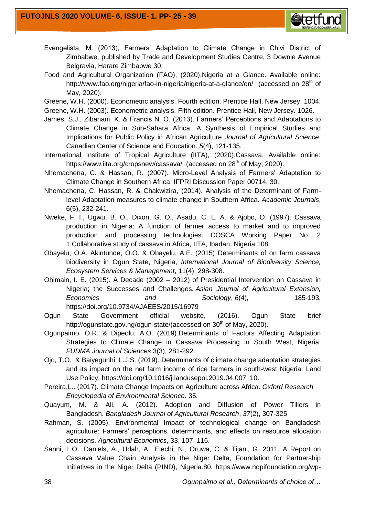

- Evengelista, M. (2013), Farmers' Adaptation to Climate Change in Chivi District of Zimbabwe, published by Trade and Development Studies Centre, 3 Downie Avenue Belgravia, Harare Zimbabwe 30.
- Food and Agricultural Organization (FAO), (2020).Nigeria at a Glance. Available online: http://www.fao.org/nigeria/fao-in-nigeria/nigeria-at-a-glance/en/ (accessed on 28<sup>th</sup> of May, 2020).

Greene, W.H. (2000). Econometric analysis. Fourth edition. Prentice Hall, New Jersey. 1004. Greene, W.H. (2003). Econometric analysis. Fifth edition. Prentice Hall, New Jersey. 1026.

- James, S.J., Zibanani, K. & Francis N. O. (2013). Farmers' Perceptions and Adaptations to Climate Change in Sub-Sahara Africa: A Synthesis of Empirical Studies and Implications for Public Policy in African Agriculture *Journal of Agricultural Science*, Canadian Center of Science and Education. *5*(4), 121-135.
- International Institute of Tropical Agriculture (IITA), (2020).Cassava. Available online: https://www.iita.org/cropsnew/cassava/ (accessed on 28<sup>th</sup> of May, 2020).
- Nhemachena, C. & Hassan, R. (2007). Micro-Level Analysis of Farmers' Adaptation to Climate Change in Southern Africa, IFPRI Discussion Paper 00714. 30.
- Nhemachena, C. Hassan, R. & Chakwizira, (2014). Analysis of the Determinant of Farmlevel Adaptation measures to climate change in Southern Africa. *Academic Journals*, 6(5), 232-241.
- Nweke, F. I., Ugwu, B. O., Dixon, G. O., Asadu, C. L. A. & Ajobo, O. (1997). Cassava production in Nigeria: A function of farmer access to market and to improved production and processing technologies. COSCA Working Paper No. 2 1.Collaborative study of cassava in Africa, IITA, Ibadan, Nigeria.108.
- Obayelu, O.A. Akintunde, O.O. & Obayelu, A.E. (2015) Determinants of on farm cassava biodiversity in Ogun State, Nigeria, *International Journal of Biodiversity Science, Ecosystem Services & Management*, 11(4), 298-308.
- Ohimain, I. E. (2015). A Decade (2002 2012) of Presidential Intervention on Cassava in Nigeria; the Successes and Challenges. *Asian Journal of Agricultural Extension, Economics and Sociology*, *6*(4), 185-193. https://doi.org/10.9734/AJAEES/2015/16979
- Ogun State Government official website, (2016). Ogun State brief http://ogunstate.gov.ng/ogun-state/(accessed on 30<sup>th</sup> of May, 2020).
- Ogunpaimo, O.R. & Dipeolu, A.O. (2019).Determinants of Factors Affecting Adaptation Strategies to Climate Change in Cassava Processing in South West, Nigeria. *FUDMA Journal of Sciences* 3(3), 281-292.
- Ojo, T.O. & Baiyegunhi, L.J.S. (2019). Determinants of climate change adaptation strategies and its impact on the net farm income of rice farmers in south-west Nigeria. Land Use Policy, https://doi.org/10.1016/j.landusepol.2019.04.007, 10.
- Pereira,L.. (2017). Climate Change Impacts on Agriculture across Africa. *Oxford Research Encyclopedia of Environmental Science*. 35.
- Quayum, M. & Ali, A. (2012). Adoption and Diffusion of Power Tillers in Bangladesh. *Bangladesh Journal of Agricultural Research*, *37*(2), 307-325
- Rahman, S. (2005). Environmental Impact of technological change on Bangladesh agriculture: Farmers' perceptions, determinants, and effects on resource allocation decisions. *Agricultural Economics*, 33, 107–116.
- Sanni, L.O., Daniels, A., Udah, A., Elechi, N., Oruwa, C. & Tijani, G. 2011. A Report on Cassava Value Chain Analysis in the Niger Delta, Foundation for Partnership Initiatives in the Niger Delta (PIND), Nigeria.80. https://www.ndpifoundation.org/wp-